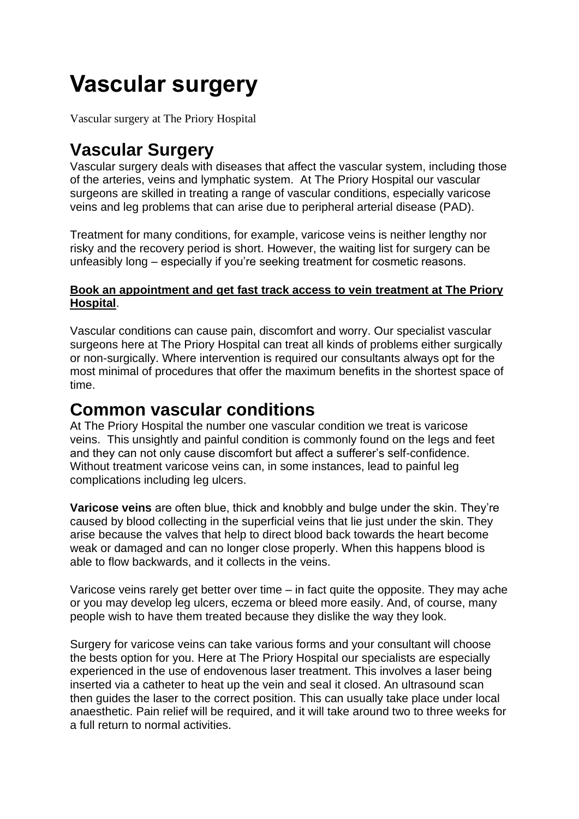# **Vascular surgery**

Vascular surgery at The Priory Hospital

## **Vascular Surgery**

Vascular surgery deals with diseases that affect the vascular system, including those of the arteries, veins and lymphatic system. At The Priory Hospital our vascular surgeons are skilled in treating a range of vascular conditions, especially varicose veins and leg problems that can arise due to peripheral arterial disease (PAD).

Treatment for many conditions, for example, varicose veins is neither lengthy nor risky and the recovery period is short. However, the waiting list for surgery can be unfeasibly long – especially if you're seeking treatment for cosmetic reasons.

#### **[Book an appointment and get fast track access to vein treatment at The Priory](https://www.circlehealthgroup.co.uk/find-an-appointment)  [Hospital](https://www.circlehealthgroup.co.uk/find-an-appointment)**.

Vascular conditions can cause pain, discomfort and worry. Our specialist vascular surgeons here at The Priory Hospital can treat all kinds of problems either surgically or non-surgically. Where intervention is required our consultants always opt for the most minimal of procedures that offer the maximum benefits in the shortest space of time.

#### **Common vascular conditions**

At The Priory Hospital the number one vascular condition we treat is varicose veins. This unsightly and painful condition is commonly found on the legs and feet and they can not only cause discomfort but affect a sufferer's self-confidence. Without treatment varicose veins can, in some instances, lead to painful leg complications including leg ulcers.

**Varicose veins** are often blue, thick and knobbly and bulge under the skin. They're caused by blood collecting in the superficial veins that lie just under the skin. They arise because the valves that help to direct blood back towards the heart become weak or damaged and can no longer close properly. When this happens blood is able to flow backwards, and it collects in the veins.

Varicose veins rarely get better over time – in fact quite the opposite. They may ache or you may develop leg ulcers, eczema or bleed more easily. And, of course, many people wish to have them treated because they dislike the way they look.

Surgery for varicose veins can take various forms and your consultant will choose the bests option for you. Here at The Priory Hospital our specialists are especially experienced in the use of endovenous laser treatment. This involves a laser being inserted via a catheter to heat up the vein and seal it closed. An ultrasound scan then guides the laser to the correct position. This can usually take place under local anaesthetic. Pain relief will be required, and it will take around two to three weeks for a full return to normal activities.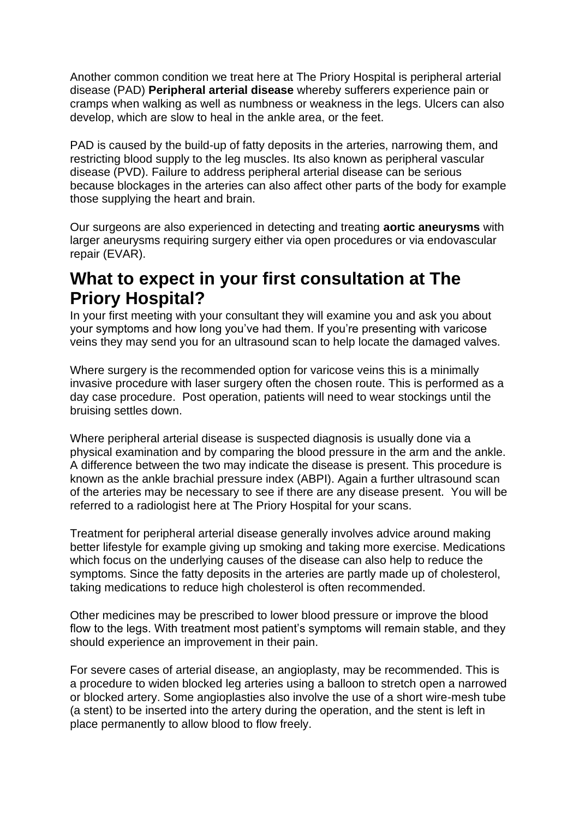Another common condition we treat here at The Priory Hospital is peripheral arterial disease (PAD) **Peripheral arterial disease** whereby sufferers experience pain or cramps when walking as well as numbness or weakness in the legs. Ulcers can also develop, which are slow to heal in the ankle area, or the feet.

PAD is caused by the build-up of fatty deposits in the arteries, narrowing them, and restricting blood supply to the leg muscles. Its also known as peripheral vascular disease (PVD). Failure to address peripheral arterial disease can be serious because blockages in the arteries can also affect other parts of the body for example those supplying the heart and brain.

Our surgeons are also experienced in detecting and treating **aortic aneurysms** with larger aneurysms requiring surgery either via open procedures or via endovascular repair (EVAR).

### **What to expect in your first consultation at The Priory Hospital?**

In your first meeting with your consultant they will examine you and ask you about your symptoms and how long you've had them. If you're presenting with varicose veins they may send you for an ultrasound scan to help locate the damaged valves.

Where surgery is the recommended option for varicose veins this is a minimally invasive procedure with laser surgery often the chosen route. This is performed as a day case procedure. Post operation, patients will need to wear stockings until the bruising settles down.

Where peripheral arterial disease is suspected diagnosis is usually done via a physical examination and by comparing the blood pressure in the arm and the ankle. A difference between the two may indicate the disease is present. This procedure is known as the ankle brachial pressure index (ABPI). Again a further ultrasound scan of the arteries may be necessary to see if there are any disease present. You will be referred to a radiologist here at The Priory Hospital for your scans.

Treatment for peripheral arterial disease generally involves advice around making better lifestyle for example giving up smoking and taking more exercise. Medications which focus on the underlying causes of the disease can also help to reduce the symptoms. Since the fatty deposits in the arteries are partly made up of cholesterol, taking medications to reduce high cholesterol is often recommended.

Other medicines may be prescribed to lower blood pressure or improve the blood flow to the legs. With treatment most patient's symptoms will remain stable, and they should experience an improvement in their pain.

For severe cases of arterial disease, an angioplasty, may be recommended. This is a procedure to widen blocked leg arteries using a balloon to stretch open a narrowed or blocked artery. Some angioplasties also involve the use of a short wire-mesh tube (a stent) to be inserted into the artery during the operation, and the stent is left in place permanently to allow blood to flow freely.